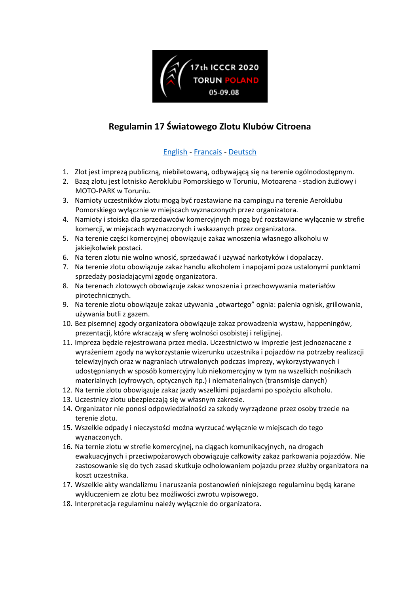

# **Regulamin 17 Światowego Zlotu Klubów Citroena**

#### [English](#page-1-0) - [Francais](#page-2-0) - [Deutsch](#page-3-0)

- 1. Zlot jest imprezą publiczną, niebiletowaną, odbywającą się na terenie ogólnodostępnym.
- 2. Bazą zlotu jest lotnisko Aeroklubu Pomorskiego w Toruniu, Motoarena stadion żużlowy i MOTO-PARK w Toruniu.
- 3. Namioty uczestników zlotu mogą być rozstawiane na campingu na terenie Aeroklubu Pomorskiego wyłącznie w miejscach wyznaczonych przez organizatora.
- 4. Namioty i stoiska dla sprzedawców komercyjnych mogą być rozstawiane wyłącznie w strefie komercji, w miejscach wyznaczonych i wskazanych przez organizatora.
- 5. Na terenie części komercyjnej obowiązuje zakaz wnoszenia własnego alkoholu w jakiejkolwiek postaci.
- 6. Na teren zlotu nie wolno wnosić, sprzedawać i używać narkotyków i dopalaczy.
- 7. Na terenie zlotu obowiązuje zakaz handlu alkoholem i napojami poza ustalonymi punktami sprzedaży posiadającymi zgodę organizatora.
- 8. Na terenach zlotowych obowiązuje zakaz wnoszenia i przechowywania materiałów pirotechnicznych.
- 9. Na terenie zlotu obowiązuje zakaz używania "otwartego" ognia: palenia ognisk, grillowania, używania butli z gazem.
- 10. Bez pisemnej zgody organizatora obowiązuje zakaz prowadzenia wystaw, happeningów, prezentacji, które wkraczają w sferę wolności osobistej i religijnej.
- 11. Impreza będzie rejestrowana przez media. Uczestnictwo w imprezie jest jednoznaczne z wyrażeniem zgody na wykorzystanie wizerunku uczestnika i pojazdów na potrzeby realizacji telewizyjnych oraz w nagraniach utrwalonych podczas imprezy, wykorzystywanych i udostępnianych w sposób komercyjny lub niekomercyjny w tym na wszelkich nośnikach materialnych (cyfrowych, optycznych itp.) i niematerialnych (transmisje danych)
- 12. Na ternie zlotu obowiązuje zakaz jazdy wszelkimi pojazdami po spożyciu alkoholu.
- 13. Uczestnicy zlotu ubezpieczają się w własnym zakresie.
- 14. Organizator nie ponosi odpowiedzialności za szkody wyrządzone przez osoby trzecie na terenie zlotu.
- 15. Wszelkie odpady i nieczystości można wyrzucać wyłącznie w miejscach do tego wyznaczonych.
- 16. Na ternie zlotu w strefie komercyjnej, na ciągach komunikacyjnych, na drogach ewakuacyjnych i przeciwpożarowych obowiązuje całkowity zakaz parkowania pojazdów. Nie zastosowanie się do tych zasad skutkuje odholowaniem pojazdu przez służby organizatora na koszt uczestnika.
- 17. Wszelkie akty wandalizmu i naruszania postanowień niniejszego regulaminu będą karane wykluczeniem ze zlotu bez możliwości zwrotu wpisowego.
- 18. Interpretacja regulaminu należy wyłącznie do organizatora.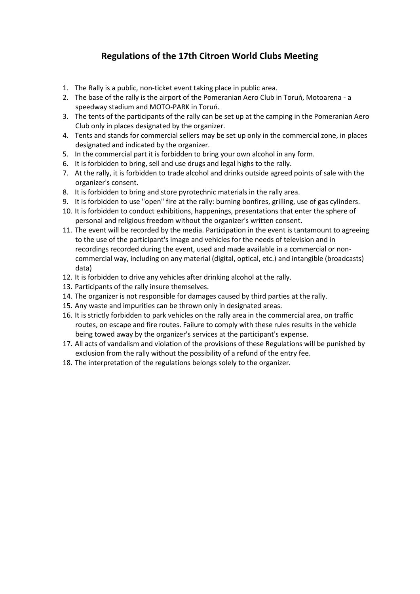## **Regulations of the 17th Citroen World Clubs Meeting**

- <span id="page-1-0"></span>1. The Rally is a public, non-ticket event taking place in public area.
- 2. The base of the rally is the airport of the Pomeranian Aero Club in Toruń, Motoarena a speedway stadium and MOTO-PARK in Toruń.
- 3. The tents of the participants of the rally can be set up at the camping in the Pomeranian Aero Club only in places designated by the organizer.
- 4. Tents and stands for commercial sellers may be set up only in the commercial zone, in places designated and indicated by the organizer.
- 5. In the commercial part it is forbidden to bring your own alcohol in any form.
- 6. It is forbidden to bring, sell and use drugs and legal highs to the rally.
- 7. At the rally, it is forbidden to trade alcohol and drinks outside agreed points of sale with the organizer's consent.
- 8. It is forbidden to bring and store pyrotechnic materials in the rally area.
- 9. It is forbidden to use "open" fire at the rally: burning bonfires, grilling, use of gas cylinders.
- 10. It is forbidden to conduct exhibitions, happenings, presentations that enter the sphere of personal and religious freedom without the organizer's written consent.
- 11. The event will be recorded by the media. Participation in the event is tantamount to agreeing to the use of the participant's image and vehicles for the needs of television and in recordings recorded during the event, used and made available in a commercial or noncommercial way, including on any material (digital, optical, etc.) and intangible (broadcasts) data)
- 12. It is forbidden to drive any vehicles after drinking alcohol at the rally.
- 13. Participants of the rally insure themselves.
- 14. The organizer is not responsible for damages caused by third parties at the rally.
- 15. Any waste and impurities can be thrown only in designated areas.
- 16. It is strictly forbidden to park vehicles on the rally area in the commercial area, on traffic routes, on escape and fire routes. Failure to comply with these rules results in the vehicle being towed away by the organizer's services at the participant's expense.
- 17. All acts of vandalism and violation of the provisions of these Regulations will be punished by exclusion from the rally without the possibility of a refund of the entry fee.
- 18. The interpretation of the regulations belongs solely to the organizer.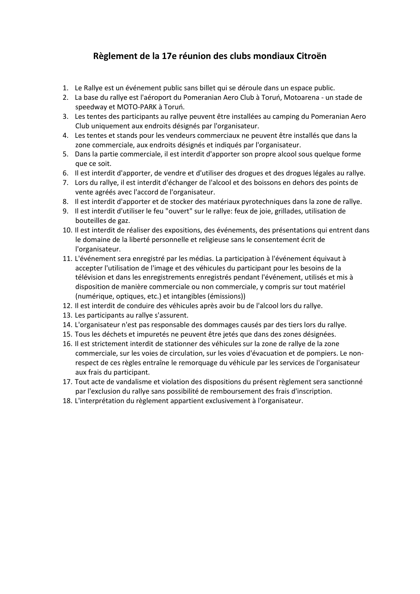## **Règlement de la 17e réunion des clubs mondiaux Citroën**

- <span id="page-2-0"></span>1. Le Rallye est un événement public sans billet qui se déroule dans un espace public.
- 2. La base du rallye est l'aéroport du Pomeranian Aero Club à Toruń, Motoarena un stade de speedway et MOTO-PARK à Toruń.
- 3. Les tentes des participants au rallye peuvent être installées au camping du Pomeranian Aero Club uniquement aux endroits désignés par l'organisateur.
- 4. Les tentes et stands pour les vendeurs commerciaux ne peuvent être installés que dans la zone commerciale, aux endroits désignés et indiqués par l'organisateur.
- 5. Dans la partie commerciale, il est interdit d'apporter son propre alcool sous quelque forme que ce soit.
- 6. Il est interdit d'apporter, de vendre et d'utiliser des drogues et des drogues légales au rallye.
- 7. Lors du rallye, il est interdit d'échanger de l'alcool et des boissons en dehors des points de vente agréés avec l'accord de l'organisateur.
- 8. Il est interdit d'apporter et de stocker des matériaux pyrotechniques dans la zone de rallye.
- 9. Il est interdit d'utiliser le feu "ouvert" sur le rallye: feux de joie, grillades, utilisation de bouteilles de gaz.
- 10. Il est interdit de réaliser des expositions, des événements, des présentations qui entrent dans le domaine de la liberté personnelle et religieuse sans le consentement écrit de l'organisateur.
- 11. L'événement sera enregistré par les médias. La participation à l'événement équivaut à accepter l'utilisation de l'image et des véhicules du participant pour les besoins de la télévision et dans les enregistrements enregistrés pendant l'événement, utilisés et mis à disposition de manière commerciale ou non commerciale, y compris sur tout matériel (numérique, optiques, etc.) et intangibles (émissions))
- 12. Il est interdit de conduire des véhicules après avoir bu de l'alcool lors du rallye.
- 13. Les participants au rallye s'assurent.
- 14. L'organisateur n'est pas responsable des dommages causés par des tiers lors du rallye.
- 15. Tous les déchets et impuretés ne peuvent être jetés que dans des zones désignées.
- 16. Il est strictement interdit de stationner des véhicules sur la zone de rallye de la zone commerciale, sur les voies de circulation, sur les voies d'évacuation et de pompiers. Le nonrespect de ces règles entraîne le remorquage du véhicule par les services de l'organisateur aux frais du participant.
- 17. Tout acte de vandalisme et violation des dispositions du présent règlement sera sanctionné par l'exclusion du rallye sans possibilité de remboursement des frais d'inscription.
- 18. L'interprétation du règlement appartient exclusivement à l'organisateur.